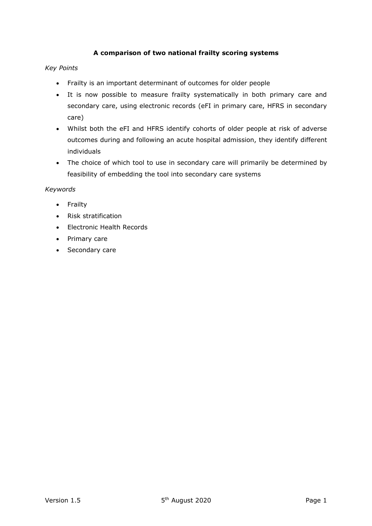# **A comparison of two national frailty scoring systems**

# *Key Points*

- Frailty is an important determinant of outcomes for older people
- It is now possible to measure frailty systematically in both primary care and secondary care, using electronic records (eFI in primary care, HFRS in secondary care)
- Whilst both the eFI and HFRS identify cohorts of older people at risk of adverse outcomes during and following an acute hospital admission, they identify different individuals
- The choice of which tool to use in secondary care will primarily be determined by feasibility of embedding the tool into secondary care systems

## *Keywords*

- Frailty
- Risk stratification
- Electronic Health Records
- Primary care
- Secondary care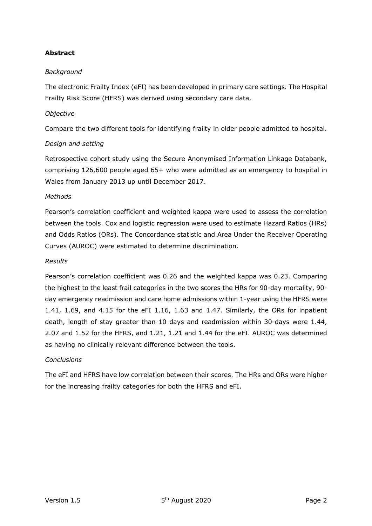# **Abstract**

# *Background*

The electronic Frailty Index (eFI) has been developed in primary care settings. The Hospital Frailty Risk Score (HFRS) was derived using secondary care data.

### *Objective*

Compare the two different tools for identifying frailty in older people admitted to hospital.

## *Design and setting*

Retrospective cohort study using the Secure Anonymised Information Linkage Databank, comprising 126,600 people aged 65+ who were admitted as an emergency to hospital in Wales from January 2013 up until December 2017.

### *Methods*

Pearson's correlation coefficient and weighted kappa were used to assess the correlation between the tools. Cox and logistic regression were used to estimate Hazard Ratios (HRs) and Odds Ratios (ORs). The Concordance statistic and Area Under the Receiver Operating Curves (AUROC) were estimated to determine discrimination.

#### *Results*

Pearson's correlation coefficient was 0.26 and the weighted kappa was 0.23. Comparing the highest to the least frail categories in the two scores the HRs for 90-day mortality, 90 day emergency readmission and care home admissions within 1-year using the HFRS were 1.41, 1.69, and 4.15 for the eFI 1.16, 1.63 and 1.47. Similarly, the ORs for inpatient death, length of stay greater than 10 days and readmission within 30-days were 1.44, 2.07 and 1.52 for the HFRS, and 1.21, 1.21 and 1.44 for the eFI. AUROC was determined as having no clinically relevant difference between the tools.

## *Conclusions*

The eFI and HFRS have low correlation between their scores. The HRs and ORs were higher for the increasing frailty categories for both the HFRS and eFI.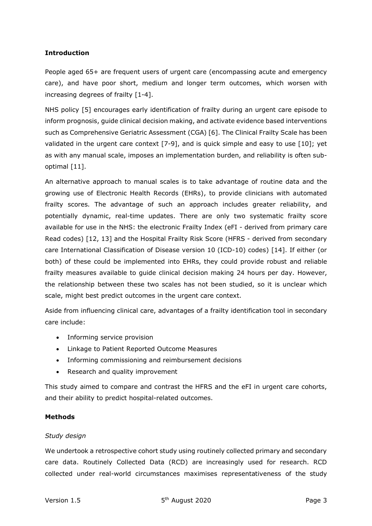### **Introduction**

People aged 65+ are frequent users of urgent care (encompassing acute and emergency care), and have poor short, medium and longer term outcomes, which worsen with increasing degrees of frailty [1-4].

NHS policy [5] encourages early identification of frailty during an urgent care episode to inform prognosis, guide clinical decision making, and activate evidence based interventions such as Comprehensive Geriatric Assessment (CGA) [6]. The Clinical Frailty Scale has been validated in the urgent care context [7-9], and is quick simple and easy to use [10]; yet as with any manual scale, imposes an implementation burden, and reliability is often suboptimal [11].

An alternative approach to manual scales is to take advantage of routine data and the growing use of Electronic Health Records (EHRs), to provide clinicians with automated frailty scores. The advantage of such an approach includes greater reliability, and potentially dynamic, real-time updates. There are only two systematic frailty score available for use in the NHS: the electronic Frailty Index (eFI - derived from primary care Read codes) [12, 13] and the Hospital Frailty Risk Score (HFRS - derived from secondary care International Classification of Disease version 10 (ICD-10) codes) [14]. If either (or both) of these could be implemented into EHRs, they could provide robust and reliable frailty measures available to guide clinical decision making 24 hours per day. However, the relationship between these two scales has not been studied, so it is unclear which scale, might best predict outcomes in the urgent care context.

Aside from influencing clinical care, advantages of a frailty identification tool in secondary care include:

- Informing service provision
- Linkage to Patient Reported Outcome Measures
- Informing commissioning and reimbursement decisions
- Research and quality improvement

This study aimed to compare and contrast the HFRS and the eFI in urgent care cohorts, and their ability to predict hospital-related outcomes.

## **Methods**

## *Study design*

We undertook a retrospective cohort study using routinely collected primary and secondary care data. Routinely Collected Data (RCD) are increasingly used for research. RCD collected under real-world circumstances maximises representativeness of the study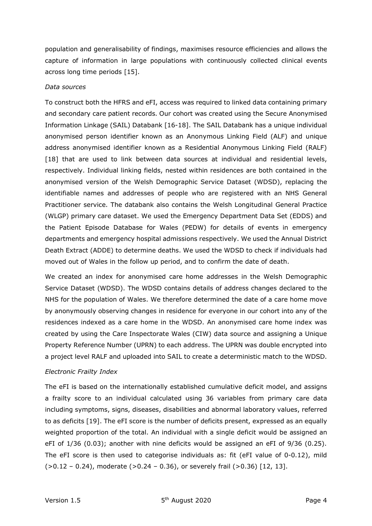population and generalisability of findings, maximises resource efficiencies and allows the capture of information in large populations with continuously collected clinical events across long time periods [15].

### *Data sources*

To construct both the HFRS and eFI, access was required to linked data containing primary and secondary care patient records. Our cohort was created using the Secure Anonymised Information Linkage (SAIL) Databank [16-18]. The SAIL Databank has a unique individual anonymised person identifier known as an Anonymous Linking Field (ALF) and unique address anonymised identifier known as a Residential Anonymous Linking Field (RALF) [18] that are used to link between data sources at individual and residential levels, respectively. Individual linking fields, nested within residences are both contained in the anonymised version of the Welsh Demographic Service Dataset (WDSD), replacing the identifiable names and addresses of people who are registered with an NHS General Practitioner service. The databank also contains the Welsh Longitudinal General Practice (WLGP) primary care dataset. We used the Emergency Department Data Set (EDDS) and the Patient Episode Database for Wales (PEDW) for details of events in emergency departments and emergency hospital admissions respectively. We used the Annual District Death Extract (ADDE) to determine deaths. We used the WDSD to check if individuals had moved out of Wales in the follow up period, and to confirm the date of death.

We created an index for anonymised care home addresses in the Welsh Demographic Service Dataset (WDSD). The WDSD contains details of address changes declared to the NHS for the population of Wales. We therefore determined the date of a care home move by anonymously observing changes in residence for everyone in our cohort into any of the residences indexed as a care home in the WDSD. An anonymised care home index was created by using the Care Inspectorate Wales (CIW) data source and assigning a Unique Property Reference Number (UPRN) to each address. The UPRN was double encrypted into a project level RALF and uploaded into SAIL to create a deterministic match to the WDSD.

## *Electronic Frailty Index*

The eFI is based on the internationally established cumulative deficit model, and assigns a frailty score to an individual calculated using 36 variables from primary care data including symptoms, signs, diseases, disabilities and abnormal laboratory values, referred to as deficits [19]. The eFI score is the number of deficits present, expressed as an equally weighted proportion of the total. An individual with a single deficit would be assigned an eFI of 1/36 (0.03); another with nine deficits would be assigned an eFI of 9/36 (0.25). The eFI score is then used to categorise individuals as: fit (eFI value of 0-0.12), mild  $(>0.12 - 0.24)$ , moderate  $(>0.24 - 0.36)$ , or severely frail  $(>0.36)$  [12, 13].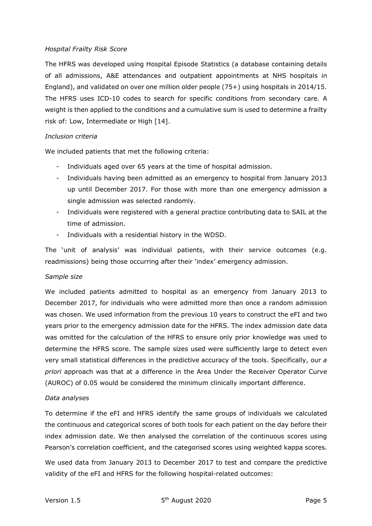### *Hospital Frailty Risk Score*

The HFRS was developed using Hospital Episode Statistics (a database containing details of all admissions, A&E attendances and outpatient appointments at NHS hospitals in England), and validated on over one million older people (75+) using hospitals in 2014/15. The HFRS uses ICD-10 codes to search for specific conditions from secondary care. A weight is then applied to the conditions and a cumulative sum is used to determine a frailty risk of: Low, Intermediate or High [14].

### *Inclusion criteria*

We included patients that met the following criteria:

- Individuals aged over 65 years at the time of hospital admission.
- Individuals having been admitted as an emergency to hospital from January 2013 up until December 2017. For those with more than one emergency admission a single admission was selected randomly.
- Individuals were registered with a general practice contributing data to SAIL at the time of admission.
- Individuals with a residential history in the WDSD.

The 'unit of analysis' was individual patients, with their service outcomes (e.g. readmissions) being those occurring after their 'index' emergency admission.

#### *Sample size*

We included patients admitted to hospital as an emergency from January 2013 to December 2017, for individuals who were admitted more than once a random admission was chosen. We used information from the previous 10 years to construct the eFI and two years prior to the emergency admission date for the HFRS. The index admission date data was omitted for the calculation of the HFRS to ensure only prior knowledge was used to determine the HFRS score. The sample sizes used were sufficiently large to detect even very small statistical differences in the predictive accuracy of the tools. Specifically, our *a priori* approach was that at a difference in the Area Under the Receiver Operator Curve (AUROC) of 0.05 would be considered the minimum clinically important difference.

## *Data analyses*

To determine if the eFI and HFRS identify the same groups of individuals we calculated the continuous and categorical scores of both tools for each patient on the day before their index admission date. We then analysed the correlation of the continuous scores using Pearson's correlation coefficient, and the categorised scores using weighted kappa scores.

We used data from January 2013 to December 2017 to test and compare the predictive validity of the eFI and HFRS for the following hospital-related outcomes: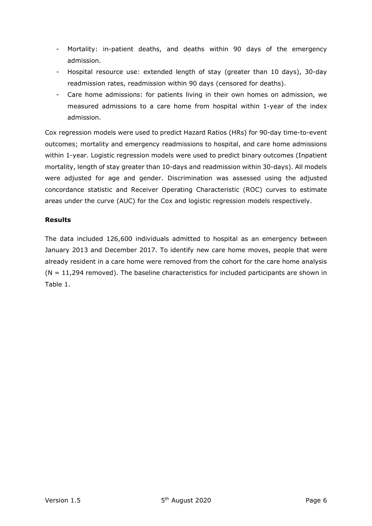- Mortality: in-patient deaths, and deaths within 90 days of the emergency admission.
- Hospital resource use: extended length of stay (greater than 10 days), 30-day readmission rates, readmission within 90 days (censored for deaths).
- Care home admissions: for patients living in their own homes on admission, we measured admissions to a care home from hospital within 1-year of the index admission.

Cox regression models were used to predict Hazard Ratios (HRs) for 90-day time-to-event outcomes; mortality and emergency readmissions to hospital, and care home admissions within 1-year. Logistic regression models were used to predict binary outcomes (Inpatient mortality, length of stay greater than 10-days and readmission within 30-days). All models were adjusted for age and gender. Discrimination was assessed using the adjusted concordance statistic and Receiver Operating Characteristic (ROC) curves to estimate areas under the curve (AUC) for the Cox and logistic regression models respectively.

# **Results**

The data included 126,600 individuals admitted to hospital as an emergency between January 2013 and December 2017. To identify new care home moves, people that were already resident in a care home were removed from the cohort for the care home analysis  $(N = 11,294$  removed). The baseline characteristics for included participants are shown in [Table](#page-6-0) 1.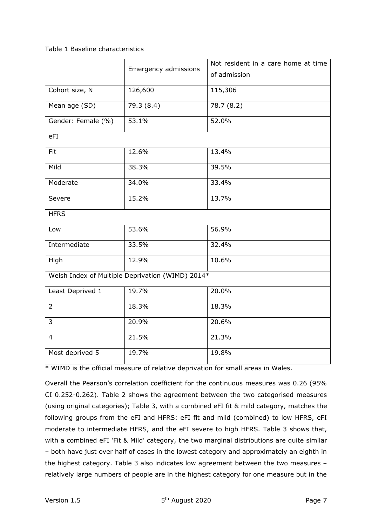### <span id="page-6-0"></span>Table 1 Baseline characteristics

|                    | Emergency admissions                             | Not resident in a care home at time |  |  |
|--------------------|--------------------------------------------------|-------------------------------------|--|--|
|                    |                                                  | of admission                        |  |  |
| Cohort size, N     | 126,600                                          | 115,306                             |  |  |
| Mean age (SD)      | 79.3 (8.4)                                       | 78.7 (8.2)                          |  |  |
| Gender: Female (%) | 53.1%                                            | 52.0%                               |  |  |
| eFI                |                                                  |                                     |  |  |
| Fit                | 12.6%                                            | 13.4%                               |  |  |
| Mild               | 38.3%                                            | 39.5%                               |  |  |
| Moderate           | 34.0%                                            | 33.4%                               |  |  |
| Severe             | 15.2%                                            | 13.7%                               |  |  |
| <b>HFRS</b>        |                                                  |                                     |  |  |
| Low                | 53.6%                                            | 56.9%                               |  |  |
| Intermediate       | 33.5%                                            | 32.4%                               |  |  |
| High               | 12.9%                                            | 10.6%                               |  |  |
|                    | Welsh Index of Multiple Deprivation (WIMD) 2014* |                                     |  |  |
| Least Deprived 1   | 19.7%                                            | 20.0%                               |  |  |
| $\overline{2}$     | 18.3%                                            | 18.3%                               |  |  |
| 3                  | 20.9%                                            | 20.6%                               |  |  |
| $\overline{4}$     | 21.5%                                            | 21.3%                               |  |  |
| Most deprived 5    | 19.7%                                            | 19.8%                               |  |  |

\* WIMD is the official measure of relative deprivation for small areas in Wales.

Overall the Pearson's correlation coefficient for the continuous measures was 0.26 (95% CI 0.252-0.262). Table 2 shows the agreement between the two categorised measures (using original categories); Table 3, with a combined eFI fit & mild category, matches the following groups from the eFI and HFRS: eFI fit and mild (combined) to low HFRS, eFI moderate to intermediate HFRS, and the eFI severe to high HFRS. Table 3 shows that, with a combined eFI 'Fit & Mild' category, the two marginal distributions are quite similar – both have just over half of cases in the lowest category and approximately an eighth in the highest category. Table 3 also indicates low agreement between the two measures – relatively large numbers of people are in the highest category for one measure but in the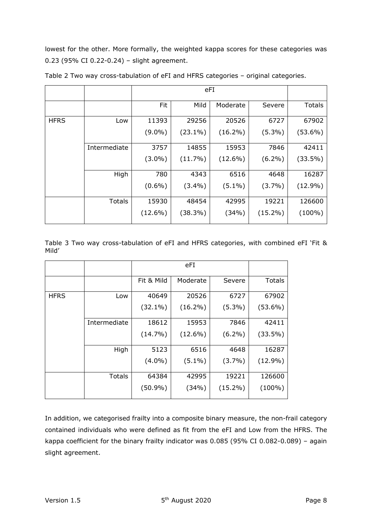lowest for the other. More formally, the weighted kappa scores for these categories was 0.23 (95% CI 0.22-0.24) – slight agreement.

|             |              | <b>Fit</b> | Mild       | Moderate   | Severe     | <b>Totals</b> |
|-------------|--------------|------------|------------|------------|------------|---------------|
| <b>HFRS</b> | Low          | 11393      | 29256      | 20526      | 6727       | 67902         |
|             |              | $(9.0\%)$  | $(23.1\%)$ | $(16.2\%)$ | $(5.3\%)$  | $(53.6\%)$    |
|             | Intermediate | 3757       | 14855      | 15953      | 7846       | 42411         |
|             |              | $(3.0\%)$  | $(11.7\%)$ | $(12.6\%)$ | $(6.2\%)$  | $(33.5\%)$    |
|             | High         | 780        | 4343       | 6516       | 4648       | 16287         |
|             |              | $(0.6\%)$  | $(3.4\%)$  | $(5.1\%)$  | $(3.7\%)$  | $(12.9\%)$    |
|             | Totals       | 15930      | 48454      | 42995      | 19221      | 126600        |
|             |              | $(12.6\%)$ | $(38.3\%)$ | (34%)      | $(15.2\%)$ | $(100\%)$     |

Table 2 Two way cross-tabulation of eFI and HFRS categories – original categories.

Table 3 Two way cross-tabulation of eFI and HFRS categories, with combined eFI 'Fit & Mild'

|             |               | Fit & Mild | Moderate   | Severe     | <b>Totals</b> |
|-------------|---------------|------------|------------|------------|---------------|
| <b>HFRS</b> | Low           | 40649      | 20526      | 6727       | 67902         |
|             |               | $(32.1\%)$ | $(16.2\%)$ | $(5.3\%)$  | $(53.6\%)$    |
|             | Intermediate  | 18612      | 15953      | 7846       | 42411         |
|             |               | $(14.7\%)$ | $(12.6\%)$ | $(6.2\%)$  | $(33.5\%)$    |
|             | High          | 5123       | 6516       | 4648       | 16287         |
|             |               | $(4.0\%)$  | $(5.1\%)$  | $(3.7\%)$  | $(12.9\%)$    |
|             | <b>Totals</b> | 64384      | 42995      | 19221      | 126600        |
|             |               | $(50.9\%)$ | (34%)      | $(15.2\%)$ | $(100\%)$     |

In addition, we categorised frailty into a composite binary measure, the non-frail category contained individuals who were defined as fit from the eFI and Low from the HFRS. The kappa coefficient for the binary frailty indicator was 0.085 (95% CI 0.082-0.089) – again slight agreement.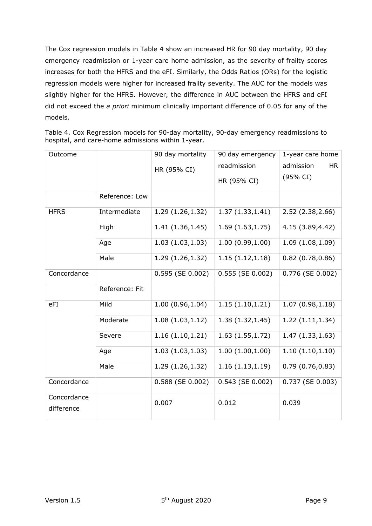The Cox regression models in [Table](#page-8-0) 4 show an increased HR for 90 day mortality, 90 day emergency readmission or 1-year care home admission, as the severity of frailty scores increases for both the HFRS and the eFI. Similarly, the Odds Ratios (ORs) for the logistic regression models were higher for increased frailty severity. The AUC for the models was slightly higher for the HFRS. However, the difference in AUC between the HFRS and eFI did not exceed the *a priori* minimum clinically important difference of 0.05 for any of the models.

| Outcome                   |                | 90 day mortality      | 90 day emergency      | 1-year care home       |
|---------------------------|----------------|-----------------------|-----------------------|------------------------|
|                           |                | HR (95% CI)           | readmission           | <b>HR</b><br>admission |
|                           |                |                       | HR (95% CI)           | (95% CI)               |
|                           | Reference: Low |                       |                       |                        |
| <b>HFRS</b>               | Intermediate   | 1.29 (1.26,1.32)      | 1.37(1.33, 1.41)      | 2.52 (2.38, 2.66)      |
|                           | High           | 1.41(1.36, 1.45)      | 1.69(1.63, 1.75)      | 4.15 (3.89, 4.42)      |
|                           | Age            | 1.03(1.03, 1.03)      | 1.00(0.99, 1.00)      | 1.09(1.08, 1.09)       |
|                           | Male           | 1.29 (1.26,1.32)      | 1.15(1.12, 1.18)      | 0.82(0.78, 0.86)       |
| Concordance               |                | $0.595$ (SE $0.002$ ) | $0.555$ (SE $0.002$ ) | 0.776 (SE 0.002)       |
|                           | Reference: Fit |                       |                       |                        |
| eFI                       | Mild           | 1.00(0.96, 1.04)      | 1.15(1.10, 1.21)      | 1.07(0.98, 1.18)       |
|                           | Moderate       | 1.08(1.03, 1.12)      | 1.38(1.32, 1.45)      | 1.22(1.11, 1.34)       |
|                           | Severe         | 1.16(1.10, 1.21)      | 1.63(1.55, 1.72)      | 1.47(1.33, 1.63)       |
|                           | Age            | 1.03(1.03, 1.03)      | 1.00(1.00, 1.00)      | 1.10(1.10, 1.10)       |
|                           | Male           | 1.29 (1.26,1.32)      | 1.16(1.13, 1.19)      | 0.79(0.76, 0.83)       |
| Concordance               |                | 0.588 (SE 0.002)      | $0.543$ (SE $0.002$ ) | 0.737 (SE 0.003)       |
| Concordance<br>difference |                | 0.007                 | 0.012                 | 0.039                  |

<span id="page-8-0"></span>

| Table 4. Cox Regression models for 90-day mortality, 90-day emergency readmissions to |  |  |  |  |
|---------------------------------------------------------------------------------------|--|--|--|--|
| hospital, and care-home admissions within 1-year.                                     |  |  |  |  |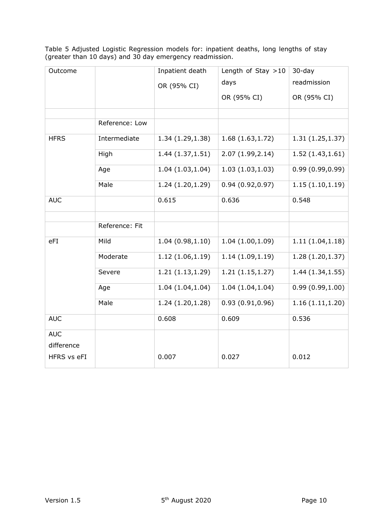Table 5 Adjusted Logistic Regression models for: inpatient deaths, long lengths of stay (greater than 10 days) and 30 day emergency readmission.

| Outcome     |                | Inpatient death  | Length of Stay $>10$ | $30$ -day        |
|-------------|----------------|------------------|----------------------|------------------|
|             |                | OR (95% CI)      | days                 | readmission      |
|             |                |                  | OR (95% CI)          | OR (95% CI)      |
|             |                |                  |                      |                  |
|             | Reference: Low |                  |                      |                  |
| <b>HFRS</b> | Intermediate   | 1.34 (1.29,1.38) | 1.68(1.63, 1.72)     | 1.31(1.25, 1.37) |
|             | High           | 1.44(1.37, 1.51) | 2.07 (1.99, 2.14)    | 1.52(1.43, 1.61) |
|             | Age            | 1.04(1.03, 1.04) | 1.03(1.03, 1.03)     | 0.99(0.99, 0.99) |
|             | Male           | 1.24(1.20, 1.29) | 0.94(0.92, 0.97)     | 1.15(1.10, 1.19) |
| <b>AUC</b>  |                | 0.615            | 0.636                | 0.548            |
|             |                |                  |                      |                  |
|             | Reference: Fit |                  |                      |                  |
| eFI         | Mild           | 1.04(0.98, 1.10) | 1.04(1.00, 1.09)     | 1.11(1.04, 1.18) |
|             | Moderate       | 1.12(1.06, 1.19) | 1.14(1.09, 1.19)     | 1.28(1.20, 1.37) |
|             | Severe         | 1.21(1.13, 1.29) | 1.21(1.15, 1.27)     | 1.44(1.34, 1.55) |
|             | Age            | 1.04(1.04, 1.04) | 1.04(1.04, 1.04)     | 0.99(0.99, 1.00) |
|             | Male           | 1.24(1.20, 1.28) | 0.93(0.91, 0.96)     | 1.16(1.11, 1.20) |
| <b>AUC</b>  |                | 0.608            | 0.609                | 0.536            |
| <b>AUC</b>  |                |                  |                      |                  |
| difference  |                |                  |                      |                  |
| HFRS vs eFI |                | 0.007            | 0.027                | 0.012            |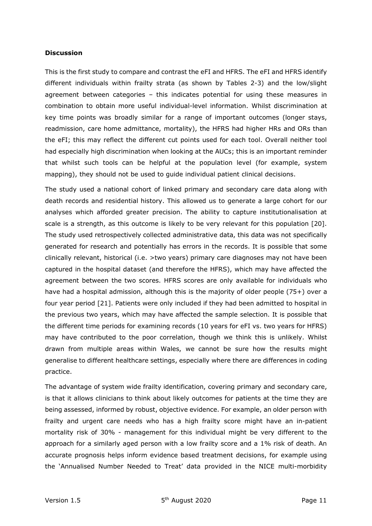#### **Discussion**

This is the first study to compare and contrast the eFI and HFRS. The eFI and HFRS identify different individuals within frailty strata (as shown by Tables 2-3) and the low/slight agreement between categories – this indicates potential for using these measures in combination to obtain more useful individual-level information. Whilst discrimination at key time points was broadly similar for a range of important outcomes (longer stays, readmission, care home admittance, mortality), the HFRS had higher HRs and ORs than the eFI; this may reflect the different cut points used for each tool. Overall neither tool had especially high discrimination when looking at the AUCs; this is an important reminder that whilst such tools can be helpful at the population level (for example, system mapping), they should not be used to guide individual patient clinical decisions.

The study used a national cohort of linked primary and secondary care data along with death records and residential history. This allowed us to generate a large cohort for our analyses which afforded greater precision. The ability to capture institutionalisation at scale is a strength, as this outcome is likely to be very relevant for this population [20]. The study used retrospectively collected administrative data, this data was not specifically generated for research and potentially has errors in the records. It is possible that some clinically relevant, historical (i.e. >two years) primary care diagnoses may not have been captured in the hospital dataset (and therefore the HFRS), which may have affected the agreement between the two scores. HFRS scores are only available for individuals who have had a hospital admission, although this is the majority of older people (75+) over a four year period [21]. Patients were only included if they had been admitted to hospital in the previous two years, which may have affected the sample selection. It is possible that the different time periods for examining records (10 years for eFI vs. two years for HFRS) may have contributed to the poor correlation, though we think this is unlikely. Whilst drawn from multiple areas within Wales, we cannot be sure how the results might generalise to different healthcare settings, especially where there are differences in coding practice.

The advantage of system wide frailty identification, covering primary and secondary care, is that it allows clinicians to think about likely outcomes for patients at the time they are being assessed, informed by robust, objective evidence. For example, an older person with frailty and urgent care needs who has a high frailty score might have an in-patient mortality risk of 30% - management for this individual might be very different to the approach for a similarly aged person with a low frailty score and a 1% risk of death. An accurate prognosis helps inform evidence based treatment decisions, for example using the 'Annualised Number Needed to Treat' data provided in the NICE multi-morbidity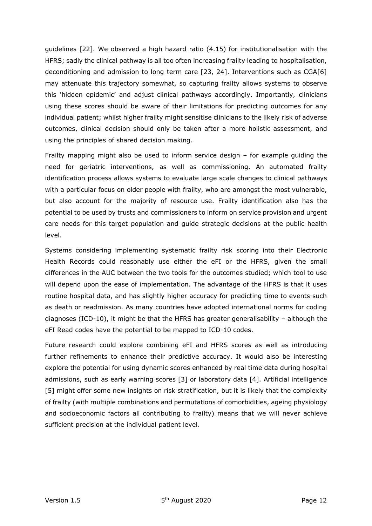guidelines [22]. We observed a high hazard ratio (4.15) for institutionalisation with the HFRS; sadly the clinical pathway is all too often increasing frailty leading to hospitalisation, deconditioning and admission to long term care [23, 24]. Interventions such as CGA[6] may attenuate this trajectory somewhat, so capturing frailty allows systems to observe this 'hidden epidemic' and adjust clinical pathways accordingly. Importantly, clinicians using these scores should be aware of their limitations for predicting outcomes for any individual patient; whilst higher frailty might sensitise clinicians to the likely risk of adverse outcomes, clinical decision should only be taken after a more holistic assessment, and using the principles of shared decision making.

Frailty mapping might also be used to inform service design – for example guiding the need for geriatric interventions, as well as commissioning. An automated frailty identification process allows systems to evaluate large scale changes to clinical pathways with a particular focus on older people with frailty, who are amongst the most vulnerable, but also account for the majority of resource use. Frailty identification also has the potential to be used by trusts and commissioners to inform on service provision and urgent care needs for this target population and guide strategic decisions at the public health level.

Systems considering implementing systematic frailty risk scoring into their Electronic Health Records could reasonably use either the eFI or the HFRS, given the small differences in the AUC between the two tools for the outcomes studied; which tool to use will depend upon the ease of implementation. The advantage of the HFRS is that it uses routine hospital data, and has slightly higher accuracy for predicting time to events such as death or readmission. As many countries have adopted international norms for coding diagnoses (ICD-10), it might be that the HFRS has greater generalisability – although the eFI Read codes have the potential to be mapped to ICD-10 codes.

Future research could explore combining eFI and HFRS scores as well as introducing further refinements to enhance their predictive accuracy. It would also be interesting explore the potential for using dynamic scores enhanced by real time data during hospital admissions, such as early warning scores [3] or laboratory data [4]. Artificial intelligence [5] might offer some new insights on risk stratification, but it is likely that the complexity of frailty (with multiple combinations and permutations of comorbidities, ageing physiology and socioeconomic factors all contributing to frailty) means that we will never achieve sufficient precision at the individual patient level.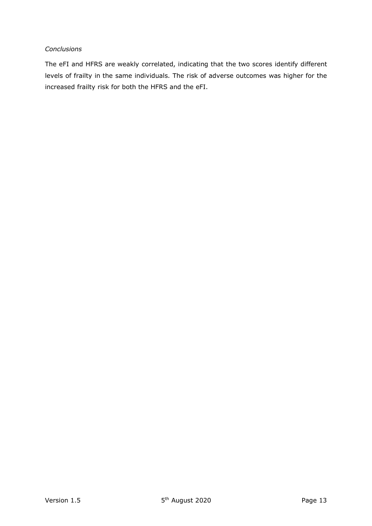## *Conclusions*

The eFI and HFRS are weakly correlated, indicating that the two scores identify different levels of frailty in the same individuals. The risk of adverse outcomes was higher for the increased frailty risk for both the HFRS and the eFI.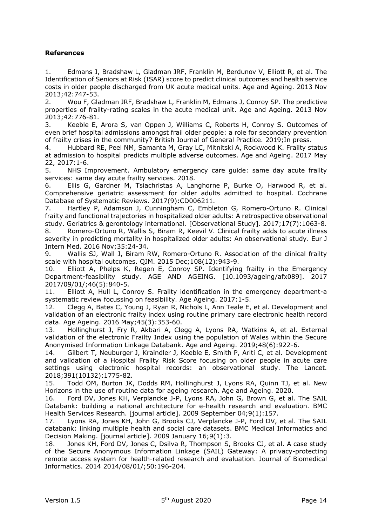## **References**

1. Edmans J, Bradshaw L, Gladman JRF, Franklin M, Berdunov V, Elliott R, et al. The Identification of Seniors at Risk (ISAR) score to predict clinical outcomes and health service costs in older people discharged from UK acute medical units. Age and Ageing. 2013 Nov 2013;42:747-53.

2. Wou F, Gladman JRF, Bradshaw L, Franklin M, Edmans J, Conroy SP. The predictive properties of frailty-rating scales in the acute medical unit. Age and Ageing. 2013 Nov 2013;42:776-81.

3. Keeble E, Arora S, van Oppen J, Williams C, Roberts H, Conroy S. Outcomes of even brief hospital admissions amongst frail older people: a role for secondary prevention of frailty crises in the community? British Journal of General Practice. 2019;In press.

4. Hubbard RE, Peel NM, Samanta M, Gray LC, Mitnitski A, Rockwood K. Frailty status at admission to hospital predicts multiple adverse outcomes. Age and Ageing. 2017 May 22, 2017:1-6.

5. NHS Improvement. Ambulatory emergency care guide: same day acute frailty services: same day acute frailty services. 2018.

6. Ellis G, Gardner M, Tsiachristas A, Langhorne P, Burke O, Harwood R, et al. Comprehensive geriatric assessment for older adults admitted to hospital. Cochrane Database of Systematic Reviews. 2017(9):CD006211.

7. Hartley P, Adamson J, Cunningham C, Embleton G, Romero-Ortuno R. Clinical frailty and functional trajectories in hospitalized older adults: A retrospective observational study. Geriatrics & gerontology international. [Observational Study]. 2017;17(7):1063-8.

8. Romero-Ortuno R, Wallis S, Biram R, Keevil V. Clinical frailty adds to acute illness severity in predicting mortality in hospitalized older adults: An observational study. Eur J Intern Med. 2016 Nov;35:24-34.

9. Wallis SJ, Wall J, Biram RW, Romero-Ortuno R. Association of the clinical frailty scale with hospital outcomes. QJM. 2015 Dec;108(12):943-9.

10. Elliott A, Phelps K, Regen E, Conroy SP. Identifying frailty in the Emergency Department-feasibility study. AGE AND AGEING. [10.1093/ageing/afx089]. 2017 2017/09/01/;46(5):840-5.

11. Elliott A, Hull L, Conroy S. Frailty identification in the emergency department-a systematic review focussing on feasibility. Age Ageing. 2017:1-5.

12. Clegg A, Bates C, Young J, Ryan R, Nichols L, Ann Teale E, et al. Development and validation of an electronic frailty index using routine primary care electronic health record data. Age Ageing. 2016 May;45(3):353-60.

13. Hollinghurst J, Fry R, Akbari A, Clegg A, Lyons RA, Watkins A, et al. External validation of the electronic Frailty Index using the population of Wales within the Secure Anonymised Information Linkage Databank. Age and Ageing. 2019;48(6):922-6.

14. Gilbert T, Neuburger J, Kraindler J, Keeble E, Smith P, Ariti C, et al. Development and validation of a Hospital Frailty Risk Score focusing on older people in acute care settings using electronic hospital records: an observational study. The Lancet. 2018;391(10132):1775-82.

15. Todd OM, Burton JK, Dodds RM, Hollinghurst J, Lyons RA, Quinn TJ, et al. New Horizons in the use of routine data for ageing research. Age and Ageing. 2020.

16. Ford DV, Jones KH, Verplancke J-P, Lyons RA, John G, Brown G, et al. The SAIL Databank: building a national architecture for e-health research and evaluation. BMC Health Services Research. [journal article]. 2009 September 04;9(1):157.

17. Lyons RA, Jones KH, John G, Brooks CJ, Verplancke J-P, Ford DV, et al. The SAIL databank: linking multiple health and social care datasets. BMC Medical Informatics and Decision Making. [journal article]. 2009 January 16;9(1):3.

18. Jones KH, Ford DV, Jones C, Dsilva R, Thompson S, Brooks CJ, et al. A case study of the Secure Anonymous Information Linkage (SAIL) Gateway: A privacy-protecting remote access system for health-related research and evaluation. Journal of Biomedical Informatics. 2014 2014/08/01/;50:196-204.